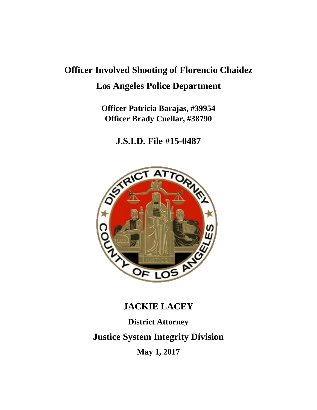# **Officer Involved Shooting of Florencio Chaidez Los Angeles Police Department**

**Officer Patricia Barajas, #39954 Officer Brady Cuellar, #38790**

**J.S.I.D. File #15-0487**



## **JACKIE LACEY**

**District Attorney Justice System Integrity Division May 1, 2017**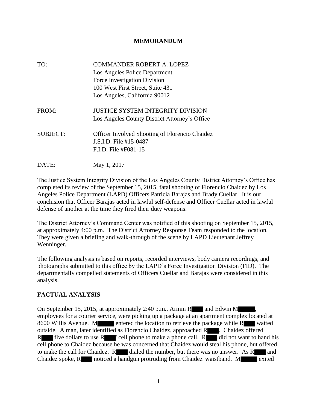#### **MEMORANDUM**

| TO:             | <b>COMMANDER ROBERT A. LOPEZ</b>                      |
|-----------------|-------------------------------------------------------|
|                 | Los Angeles Police Department                         |
|                 | Force Investigation Division                          |
|                 | 100 West First Street, Suite 431                      |
|                 | Los Angeles, California 90012                         |
| FROM:           | <b>JUSTICE SYSTEM INTEGRITY DIVISION</b>              |
|                 | Los Angeles County District Attorney's Office         |
| <b>SUBJECT:</b> | <b>Officer Involved Shooting of Florencio Chaidez</b> |
|                 | J.S.I.D. File #15-0487                                |
|                 | F.I.D. File #F081-15                                  |
| DATE:           | May 1, 2017                                           |

The Justice System Integrity Division of the Los Angeles County District Attorney's Office has completed its review of the September 15, 2015, fatal shooting of Florencio Chaidez by Los Angeles Police Department (LAPD) Officers Patricia Barajas and Brady Cuellar. It is our conclusion that Officer Barajas acted in lawful self-defense and Officer Cuellar acted in lawful defense of another at the time they fired their duty weapons.

The District Attorney's Command Center was notified of this shooting on September 15, 2015, at approximately 4:00 p.m. The District Attorney Response Team responded to the location. They were given a briefing and walk-through of the scene by LAPD Lieutenant Jeffrey Wenninger.

The following analysis is based on reports, recorded interviews, body camera recordings, and photographs submitted to this office by the LAPD's Force Investigation Division (FID). The departmentally compelled statements of Officers Cuellar and Barajas were considered in this analysis.

#### **FACTUAL ANALYSIS**

On September 15, 2015, at approximately 2:40 p.m., Armin R and Edwin M employees for a courier service, were picking up a package at an apartment complex located at 8600 Willis Avenue. M entered the location to retrieve the package while R waited outside. A man, later identified as Florencio Chaidez, approached R . Chaidez offered R five dollars to use  $R$  ' cell phone to make a phone call.  $R$  did not want to hand his cell phone to Chaidez because he was concerned that Chaidez would steal his phone, but offered to make the call for Chaidez.  $R$  dialed the number, but there was no answer. As  $R$  and Chaidez spoke, R noticed a handgun protruding from Chaidez' waistband. M exited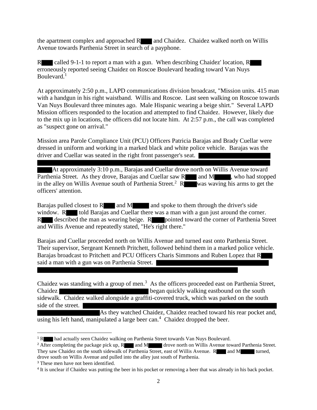the apartment complex and approached  $R_{\text{max}}$  and Chaidez. Chaidez walked north on Willis Avenue towards Parthenia Street in search of a payphone.

R called 9-1-1 to report a man with a gun. When describing Chaidez' location, R erroneously reported seeing Chaidez on Roscoe Boulevard heading toward Van Nuys Boulevard.<sup>1</sup>

At approximately 2:50 p.m., LAPD communications division broadcast, "Mission units. 415 man with a handgun in his right waistband. Willis and Roscoe. Last seen walking on Roscoe towards Van Nuys Boulevard three minutes ago. Male Hispanic wearing a beige shirt." Several LAPD Mission officers responded to the location and attempted to find Chaidez. However, likely due to the mix up in locations, the officers did not locate him. At 2:57 p.m., the call was completed as "suspect gone on arrival."

Mission area Parole Compliance Unit (PCU) Officers Patricia Barajas and Brady Cuellar were dressed in uniform and working in a marked black and white police vehicle. Barajas was the driver and Cuellar was seated in the right front passenger's seat.

At approximately 3:10 p.m., Barajas and Cuellar drove north on Willis Avenue toward Parthenia Street. As they drove, Barajas and Cuellar saw R and M , who had stopped in the alley on Willis Avenue south of Parthenia Street.<sup>2</sup> R was waving his arms to get the officers' attention.

Barajas pulled closest to R and M and spoke to them through the driver's side window. R told Barajas and Cuellar there was a man with a gun just around the corner. R described the man as wearing beige. R pointed toward the corner of Parthenia Street and Willis Avenue and repeatedly stated, "He's right there."

Barajas and Cuellar proceeded north on Willis Avenue and turned east onto Parthenia Street. Their supervisor, Sergeant Kenneth Pritchett, followed behind them in a marked police vehicle. Barajas broadcast to Pritchett and PCU Officers Charis Simmons and Ruben Lopez that R said a man with a gun was on Parthenia Street.

Chaidez was standing with a group of men.<sup>3</sup> As the officers proceeded east on Parthenia Street, Chaidez **began quickly walking eastbound on the south** sidewalk. Chaidez walked alongside a graffiti-covered truck, which was parked on the south side of the street.

As they watched Chaidez, Chaidez reached toward his rear pocket and, using his left hand, manipulated a large beer can.<sup>4</sup> Chaidez dropped the beer.

<sup>&</sup>lt;sup>1</sup> R had actually seen Chaidez walking on Parthenia Street towards Van Nuys Boulevard.

<sup>&</sup>lt;sup>2</sup> After completing the package pick up, R and M drove north on Willis Avenue toward Parthenia Street. They saw Chaidez on the south sidewalk of Parthenia Street, east of Willis Avenue. R and M turned, drove south on Willis Avenue and pulled into the alley just south of Parthenia.

<sup>&</sup>lt;sup>3</sup> These men have not been identified.

<sup>4</sup> It is unclear if Chaidez was putting the beer in his pocket or removing a beer that was already in his back pocket.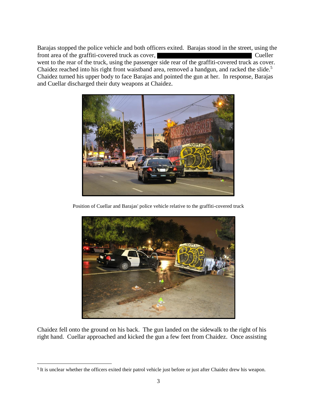Barajas stopped the police vehicle and both officers exited. Barajas stood in the street, using the front area of the graffiti-covered truck as cover, Cueller went to the rear of the truck, using the passenger side rear of the graffiti-covered truck as cover. Chaidez reached into his right front waistband area, removed a handgun, and racked the slide.<sup>5</sup> Chaidez turned his upper body to face Barajas and pointed the gun at her. In response, Barajas and Cuellar discharged their duty weapons at Chaidez.



Position of Cuellar and Barajas' police vehicle relative to the graffiti-covered truck



Chaidez fell onto the ground on his back. The gun landed on the sidewalk to the right of his right hand. Cuellar approached and kicked the gun a few feet from Chaidez. Once assisting

 $\overline{\phantom{a}}$ 

<sup>&</sup>lt;sup>5</sup> It is unclear whether the officers exited their patrol vehicle just before or just after Chaidez drew his weapon.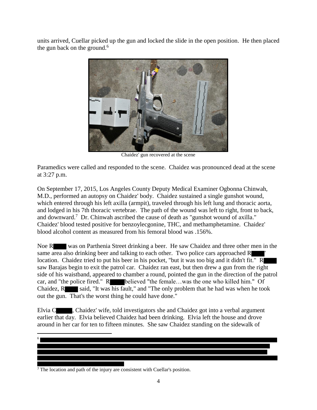units arrived, Cuellar picked up the gun and locked the slide in the open position. He then placed the gun back on the ground. $<sup>6</sup>$ </sup>



Chaidez' gun recovered at the scene

Paramedics were called and responded to the scene. Chaidez was pronounced dead at the scene at 3:27 p.m.

On September 17, 2015, Los Angeles County Deputy Medical Examiner Ogbonna Chinwah, M.D., performed an autopsy on Chaidez' body. Chaidez sustained a single gunshot wound, which entered through his left axilla (armpit), traveled through his left lung and thoracic aorta, and lodged in his 7th thoracic vertebrae. The path of the wound was left to right, front to back, and downward.<sup>7</sup> Dr. Chinwah ascribed the cause of death as "gunshot wound of axilla." Chaidez' blood tested positive for benzoylecgonine, THC, and methamphetamine. Chaidez' blood alcohol content as measured from his femoral blood was .156%.

Noe R was on Parthenia Street drinking a beer. He saw Chaidez and three other men in the same area also drinking beer and talking to each other. Two police cars approached R location. Chaidez tried to put his beer in his pocket, "but it was too big and it didn't fit." R saw Barajas begin to exit the patrol car. Chaidez ran east, but then drew a gun from the right side of his waistband, appeared to chamber a round, pointed the gun in the direction of the patrol car, and "the police fired." R believed "the female...was the one who killed him." Of Chaidez,  $R$  said, "It was his fault," and "The only problem that he had was when he took out the gun. That's the worst thing he could have done."

Elvia C , Chaidez' wife, told investigators she and Chaidez got into a verbal argument earlier that day. Elvia believed Chaidez had been drinking. Elvia left the house and drove around in her car for ten to fifteen minutes. She saw Chaidez standing on the sidewalk of

 $\overline{\phantom{a}}$ 6

 $\overline{7}$  The location and path of the injury are consistent with Cuellar's position.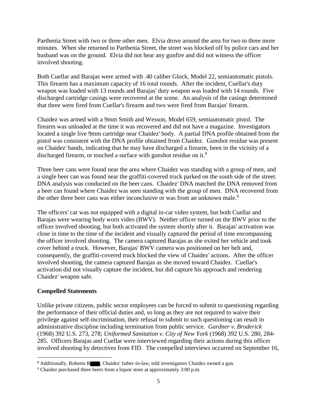Parthenia Street with two or three other men. Elvia drove around the area for two to three more minutes. When she returned to Parthenia Street, the street was blocked off by police cars and her husband was on the ground. Elvia did not hear any gunfire and did not witness the officer involved shooting.

Both Cuellar and Barajas were armed with .40 caliber Glock, Model 22, semiautomatic pistols. This firearm has a maximum capacity of 16 total rounds. After the incident, Cuellar's duty weapon was loaded with 13 rounds and Barajas' duty weapon was loaded with 14 rounds. Five discharged cartridge casings were recovered at the scene. An analysis of the casings determined that three were fired from Cuellar's firearm and two were fired from Barajas' firearm.

Chaidez was armed with a 9mm Smith and Wesson, Model 659, semiautomatic pistol. The firearm was unloaded at the time it was recovered and did not have a magazine. Investigators located a single live 9mm cartridge near Chaidez' body. A partial DNA profile obtained from the pistol was consistent with the DNA profile obtained from Chaidez. Gunshot residue was present on Chaidez' hands, indicating that he may have discharged a firearm, been in the vicinity of a discharged firearm, or touched a surface with gunshot residue on it.<sup>8</sup>

Three beer cans were found near the area where Chaidez was standing with a group of men, and a single beer can was found near the graffiti-covered truck parked on the south side of the street. DNA analysis was conducted on the beer cans. Chaidez' DNA matched the DNA removed from a beer can found where Chaidez was seen standing with the group of men. DNA recovered from the other three beer cans was either inconclusive or was from an unknown male.<sup>9</sup>

The officers' car was not equipped with a digital in-car video system, but both Cuellar and Barajas were wearing body worn video (BWV). Neither officer turned on the BWV prior to the officer involved shooting, but both activated the system shortly after it. Barajas' activation was close in time to the time of the incident and visually captured the period of time encompassing the officer involved shooting. The camera captured Barajas as she exited her vehicle and took cover behind a truck. However, Barajas' BWV camera was positioned on her belt and, consequently, the graffiti-covered truck blocked the view of Chaidez' actions. After the officer involved shooting, the camera captured Barajas as she moved toward Chaidez. Cuellar's activation did not visually capture the incident, but did capture his approach and rendering Chaidez' weapon safe.

#### **Compelled Statements**

l

Unlike private citizens, public sector employees can be forced to submit to questioning regarding the performance of their official duties and, so long as they are not required to waive their privilege against self-incrimination, their refusal to submit to such questioning can result in administrative discipline including termination from public service. *Gardner v. Broderick* (1968) 392 U.S. 273, 278; *Uniformed Sanitation v. City of New York* (1968) 392 U.S. 280, 284- 285. Officers Barajas and Cuellar were interviewed regarding their actions during this officer involved shooting by detectives from FID. The compelled interviews occurred on September 16,

<sup>&</sup>lt;sup>8</sup> Additionally, Roberto R , Chaidez' father-in-law, told investigators Chaidez owned a gun.

<sup>9</sup> Chaidez purchased three beers from a liquor store at approximately 3:00 p.m.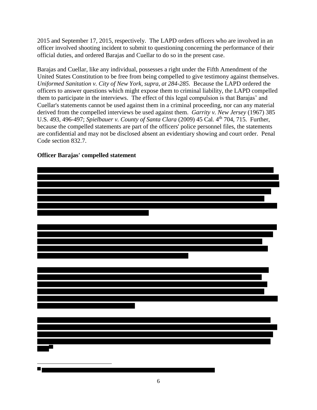2015 and September 17, 2015, respectively. The LAPD orders officers who are involved in an officer involved shooting incident to submit to questioning concerning the performance of their official duties, and ordered Barajas and Cuellar to do so in the present case.

Barajas and Cuellar, like any individual, possesses a right under the Fifth Amendment of the United States Constitution to be free from being compelled to give testimony against themselves. *Uniformed Sanitation v. City of New York, supra, at 284-285.* Because the LAPD ordered the officers to answer questions which might expose them to criminal liability, the LAPD compelled them to participate in the interviews. The effect of this legal compulsion is that Barajas' and Cuellar's statements cannot be used against them in a criminal proceeding, nor can any material derived from the compelled interviews be used against them. *Garrity v. New Jersey* (1967) 385 U.S. 493, 496-497; *Spielbauer v. County of Santa Clara* (2009) 45 Cal. 4th 704, 715. Further, because the compelled statements are part of the officers' police personnel files, the statements are confidential and may not be disclosed absent an evidentiary showing and court order. Penal Code section 832.7.



### **Officer Barajas' compelled statement**

 $\overline{\phantom{a}}$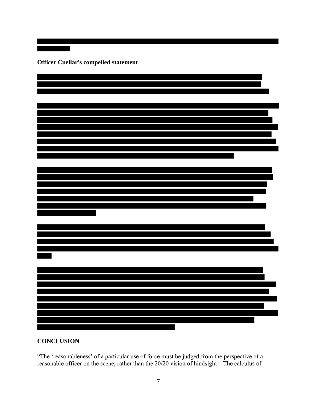**Officer Cuellar's compelled statement**



#### **CONCLUSION**

"The 'reasonableness' of a particular use of force must be judged from the perspective of a reasonable officer on the scene, rather than the 20/20 vision of hindsight…The calculus of